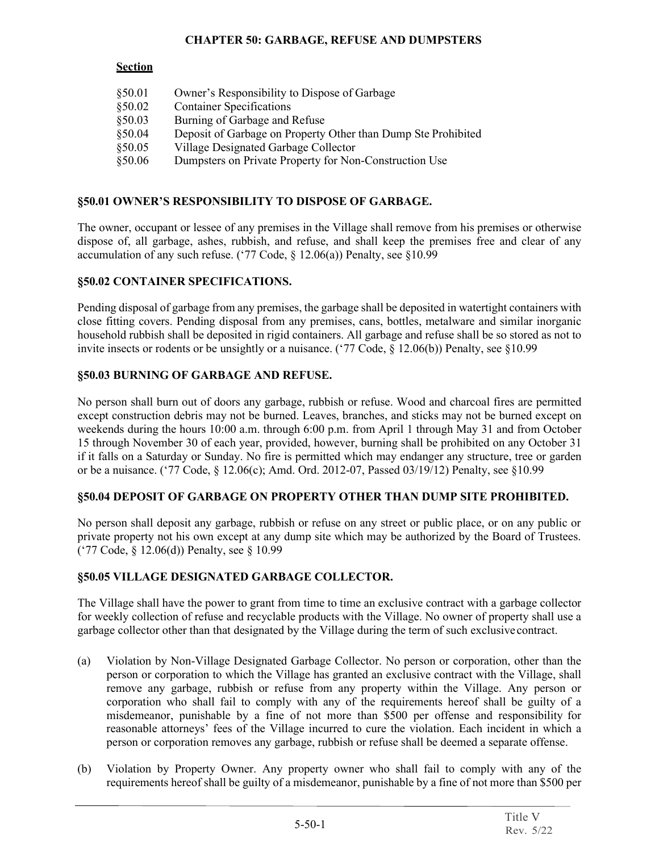#### **CHAPTER 50: GARBAGE, REFUSE AND DUMPSTERS**

### **Section**

| \$50.01 | Owner's Responsibility to Dispose of Garbage                  |
|---------|---------------------------------------------------------------|
| \$50.02 | <b>Container Specifications</b>                               |
| §50.03  | Burning of Garbage and Refuse                                 |
| \$50.04 | Deposit of Garbage on Property Other than Dump Ste Prohibited |
| §50.05  | Village Designated Garbage Collector                          |
| \$50.06 | Dumpsters on Private Property for Non-Construction Use        |

# **§50.01 OWNER'S RESPONSIBILITY TO DISPOSE OF GARBAGE.**

The owner, occupant or lessee of any premises in the Village shall remove from his premises or otherwise dispose of, all garbage, ashes, rubbish, and refuse, and shall keep the premises free and clear of any accumulation of any such refuse. ('77 Code,  $\S$  12.06(a)) Penalty, see  $\S$ 10.99

## **§50.02 CONTAINER SPECIFICATIONS.**

Pending disposal of garbage from any premises, the garbage shall be deposited in watertight containers with close fitting covers. Pending disposal from any premises, cans, bottles, metalware and similar inorganic household rubbish shall be deposited in rigid containers. All garbage and refuse shall be so stored as not to invite insects or rodents or be unsightly or a nuisance. ('77 Code, § 12.06(b)) Penalty, see §10.99

### **§50.03 BURNING OF GARBAGE AND REFUSE.**

No person shall burn out of doors any garbage, rubbish or refuse. Wood and charcoal fires are permitted except construction debris may not be burned. Leaves, branches, and sticks may not be burned except on weekends during the hours 10:00 a.m. through 6:00 p.m. from April 1 through May 31 and from October 15 through November 30 of each year, provided, however, burning shall be prohibited on any October 31 if it falls on a Saturday or Sunday. No fire is permitted which may endanger any structure, tree or garden or be a nuisance. ('77 Code, § 12.06(c); Amd. Ord. 2012-07, Passed 03/19/12) Penalty, see §10.99

## **§50.04 DEPOSIT OF GARBAGE ON PROPERTY OTHER THAN DUMP SITE PROHIBITED.**

No person shall deposit any garbage, rubbish or refuse on any street or public place, or on any public or private property not his own except at any dump site which may be authorized by the Board of Trustees. ('77 Code, § 12.06(d)) Penalty, see § 10.99

## **§50.05 VILLAGE DESIGNATED GARBAGE COLLECTOR.**

The Village shall have the power to grant from time to time an exclusive contract with a garbage collector for weekly collection of refuse and recyclable products with the Village. No owner of property shall use a garbage collector other than that designated by the Village during the term of such exclusivecontract.

- (a) Violation by Non-Village Designated Garbage Collector. No person or corporation, other than the person or corporation to which the Village has granted an exclusive contract with the Village, shall remove any garbage, rubbish or refuse from any property within the Village. Any person or corporation who shall fail to comply with any of the requirements hereof shall be guilty of a misdemeanor, punishable by a fine of not more than \$500 per offense and responsibility for reasonable attorneys' fees of the Village incurred to cure the violation. Each incident in which a person or corporation removes any garbage, rubbish or refuse shall be deemed a separate offense.
- (b) Violation by Property Owner. Any property owner who shall fail to comply with any of the requirements hereof shall be guilty of a misdemeanor, punishable by a fine of not more than \$500 per